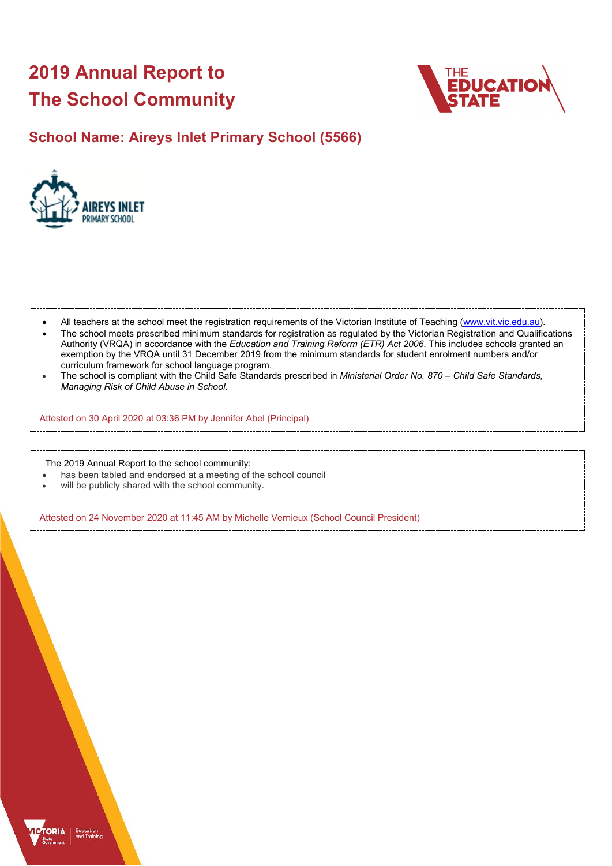# **2019 Annual Report to The School Community**



### **School Name: Aireys Inlet Primary School (5566)**



- All teachers at the school meet the registration requirements of the Victorian Institute of Teaching [\(www.vit.vic.edu.au\)](https://www.vit.vic.edu.au/).
- The school meets prescribed minimum standards for registration as regulated by the Victorian Registration and Qualifications Authority (VRQA) in accordance with the *Education and Training Reform (ETR) Act 2006*. This includes schools granted an exemption by the VRQA until 31 December 2019 from the minimum standards for student enrolment numbers and/or curriculum framework for school language program.
- The school is compliant with the Child Safe Standards prescribed in *Ministerial Order No. 870 Child Safe Standards, Managing Risk of Child Abuse in School*.

Attested on 30 April 2020 at 03:36 PM by Jennifer Abel (Principal)

The 2019 Annual Report to the school community:

- has been tabled and endorsed at a meeting of the school council
- will be publicly shared with the school community.

Attested on 24 November 2020 at 11:45 AM by Michelle Vernieux (School Council President)

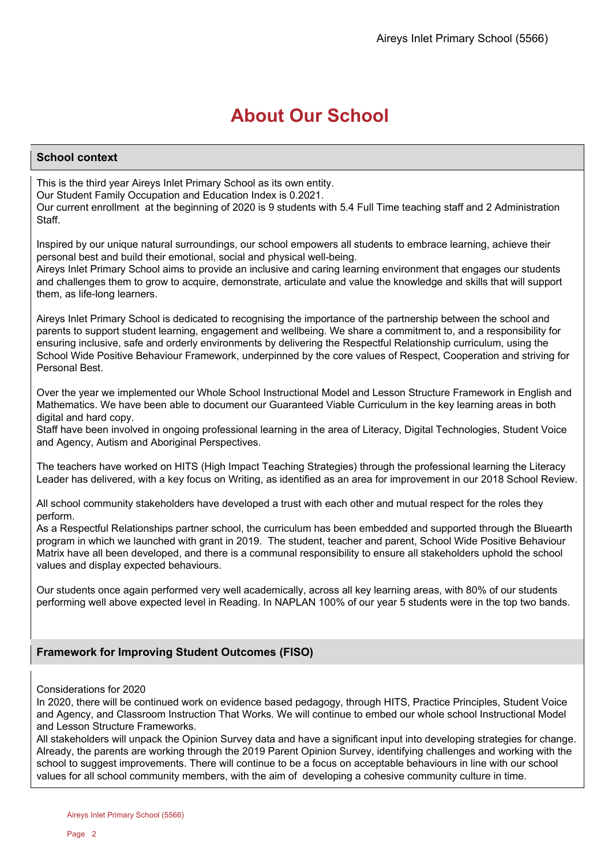## **About Our School**

### **School context**

This is the third year Aireys Inlet Primary School as its own entity. Our Student Family Occupation and Education Index is 0.2021. Our current enrollment at the beginning of 2020 is 9 students with 5.4 Full Time teaching staff and 2 Administration Staff.

Inspired by our unique natural surroundings, our school empowers all students to embrace learning, achieve their personal best and build their emotional, social and physical well-being.

Aireys Inlet Primary School aims to provide an inclusive and caring learning environment that engages our students and challenges them to grow to acquire, demonstrate, articulate and value the knowledge and skills that will support them, as life-long learners.

Aireys Inlet Primary School is dedicated to recognising the importance of the partnership between the school and parents to support student learning, engagement and wellbeing. We share a commitment to, and a responsibility for ensuring inclusive, safe and orderly environments by delivering the Respectful Relationship curriculum, using the School Wide Positive Behaviour Framework, underpinned by the core values of Respect, Cooperation and striving for Personal Best.

Over the year we implemented our Whole School Instructional Model and Lesson Structure Framework in English and Mathematics. We have been able to document our Guaranteed Viable Curriculum in the key learning areas in both digital and hard copy.

Staff have been involved in ongoing professional learning in the area of Literacy, Digital Technologies, Student Voice and Agency, Autism and Aboriginal Perspectives.

The teachers have worked on HITS (High Impact Teaching Strategies) through the professional learning the Literacy Leader has delivered, with a key focus on Writing, as identified as an area for improvement in our 2018 School Review.

All school community stakeholders have developed a trust with each other and mutual respect for the roles they perform.

As a Respectful Relationships partner school, the curriculum has been embedded and supported through the Bluearth program in which we launched with grant in 2019. The student, teacher and parent, School Wide Positive Behaviour Matrix have all been developed, and there is a communal responsibility to ensure all stakeholders uphold the school values and display expected behaviours.

Our students once again performed very well academically, across all key learning areas, with 80% of our students performing well above expected level in Reading. In NAPLAN 100% of our year 5 students were in the top two bands.

### **Framework for Improving Student Outcomes (FISO)**

### Considerations for 2020

In 2020, there will be continued work on evidence based pedagogy, through HITS, Practice Principles, Student Voice and Agency, and Classroom Instruction That Works. We will continue to embed our whole school Instructional Model and Lesson Structure Frameworks.

All stakeholders will unpack the Opinion Survey data and have a significant input into developing strategies for change. Already, the parents are working through the 2019 Parent Opinion Survey, identifying challenges and working with the school to suggest improvements. There will continue to be a focus on acceptable behaviours in line with our school values for all school community members, with the aim of developing a cohesive community culture in time.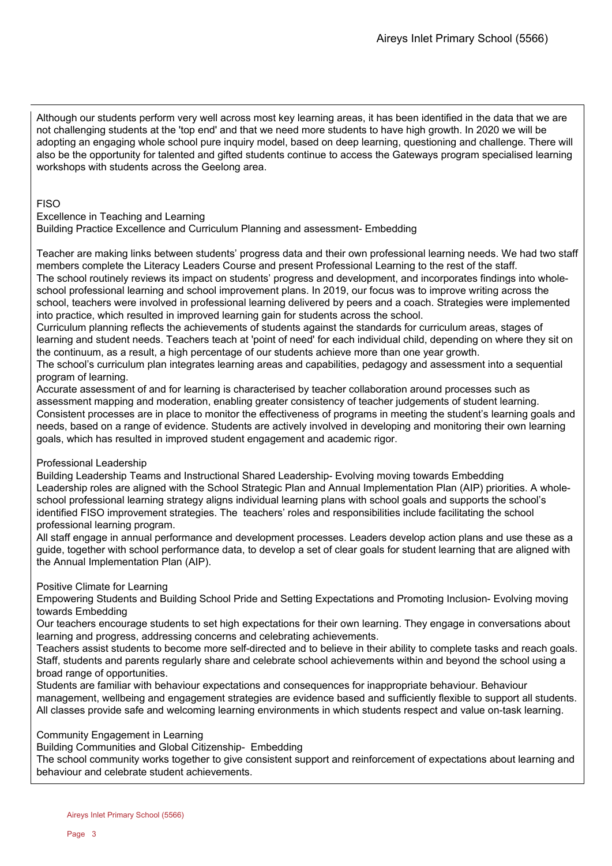Although our students perform very well across most key learning areas, it has been identified in the data that we are not challenging students at the 'top end' and that we need more students to have high growth. In 2020 we will be adopting an engaging whole school pure inquiry model, based on deep learning, questioning and challenge. There will also be the opportunity for talented and gifted students continue to access the Gateways program specialised learning workshops with students across the Geelong area.

### **FISO**

Excellence in Teaching and Learning

Building Practice Excellence and Curriculum Planning and assessment- Embedding

Teacher are making links between students' progress data and their own professional learning needs. We had two staff members complete the Literacy Leaders Course and present Professional Learning to the rest of the staff. The school routinely reviews its impact on students' progress and development, and incorporates findings into wholeschool professional learning and school improvement plans. In 2019, our focus was to improve writing across the school, teachers were involved in professional learning delivered by peers and a coach. Strategies were implemented into practice, which resulted in improved learning gain for students across the school.

Curriculum planning reflects the achievements of students against the standards for curriculum areas, stages of learning and student needs. Teachers teach at 'point of need' for each individual child, depending on where they sit on the continuum, as a result, a high percentage of our students achieve more than one year growth.

The school's curriculum plan integrates learning areas and capabilities, pedagogy and assessment into a sequential program of learning.

Accurate assessment of and for learning is characterised by teacher collaboration around processes such as assessment mapping and moderation, enabling greater consistency of teacher judgements of student learning. Consistent processes are in place to monitor the effectiveness of programs in meeting the student's learning goals and needs, based on a range of evidence. Students are actively involved in developing and monitoring their own learning goals, which has resulted in improved student engagement and academic rigor.

### Professional Leadership

Building Leadership Teams and Instructional Shared Leadership- Evolving moving towards Embedding Leadership roles are aligned with the School Strategic Plan and Annual Implementation Plan (AIP) priorities. A wholeschool professional learning strategy aligns individual learning plans with school goals and supports the school's identified FISO improvement strategies. The teachers' roles and responsibilities include facilitating the school professional learning program.

All staff engage in annual performance and development processes. Leaders develop action plans and use these as a guide, together with school performance data, to develop a set of clear goals for student learning that are aligned with the Annual Implementation Plan (AIP).

### Positive Climate for Learning

Empowering Students and Building School Pride and Setting Expectations and Promoting Inclusion- Evolving moving towards Embedding

Our teachers encourage students to set high expectations for their own learning. They engage in conversations about learning and progress, addressing concerns and celebrating achievements.

Teachers assist students to become more self-directed and to believe in their ability to complete tasks and reach goals. Staff, students and parents regularly share and celebrate school achievements within and beyond the school using a broad range of opportunities.

Students are familiar with behaviour expectations and consequences for inappropriate behaviour. Behaviour management, wellbeing and engagement strategies are evidence based and sufficiently flexible to support all students. All classes provide safe and welcoming learning environments in which students respect and value on-task learning.

### Community Engagement in Learning

Building Communities and Global Citizenship- Embedding

The school community works together to give consistent support and reinforcement of expectations about learning and behaviour and celebrate student achievements.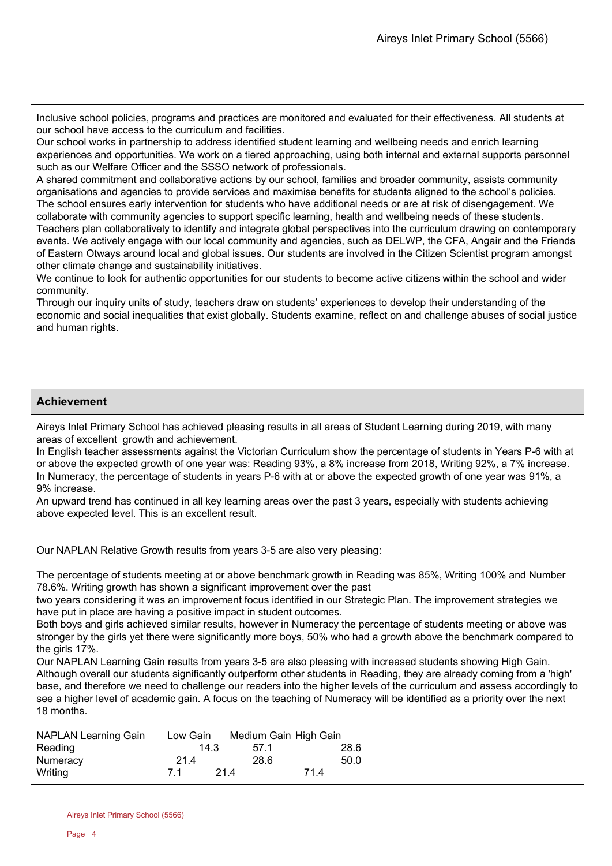Inclusive school policies, programs and practices are monitored and evaluated for their effectiveness. All students at our school have access to the curriculum and facilities.

Our school works in partnership to address identified student learning and wellbeing needs and enrich learning experiences and opportunities. We work on a tiered approaching, using both internal and external supports personnel such as our Welfare Officer and the SSSO network of professionals.

A shared commitment and collaborative actions by our school, families and broader community, assists community organisations and agencies to provide services and maximise benefits for students aligned to the school's policies. The school ensures early intervention for students who have additional needs or are at risk of disengagement. We

collaborate with community agencies to support specific learning, health and wellbeing needs of these students. Teachers plan collaboratively to identify and integrate global perspectives into the curriculum drawing on contemporary events. We actively engage with our local community and agencies, such as DELWP, the CFA, Angair and the Friends of Eastern Otways around local and global issues. Our students are involved in the Citizen Scientist program amongst other climate change and sustainability initiatives.

We continue to look for authentic opportunities for our students to become active citizens within the school and wider community.

Through our inquiry units of study, teachers draw on students' experiences to develop their understanding of the economic and social inequalities that exist globally. Students examine, reflect on and challenge abuses of social justice and human rights.

### **Achievement**

Aireys Inlet Primary School has achieved pleasing results in all areas of Student Learning during 2019, with many areas of excellent growth and achievement.

In English teacher assessments against the Victorian Curriculum show the percentage of students in Years P-6 with at or above the expected growth of one year was: Reading 93%, a 8% increase from 2018, Writing 92%, a 7% increase. In Numeracy, the percentage of students in years P-6 with at or above the expected growth of one year was 91%, a 9% increase.

An upward trend has continued in all key learning areas over the past 3 years, especially with students achieving above expected level. This is an excellent result.

Our NAPLAN Relative Growth results from years 3-5 are also very pleasing:

The percentage of students meeting at or above benchmark growth in Reading was 85%, Writing 100% and Number 78.6%. Writing growth has shown a significant improvement over the past

two years considering it was an improvement focus identified in our Strategic Plan. The improvement strategies we have put in place are having a positive impact in student outcomes.

Both boys and girls achieved similar results, however in Numeracy the percentage of students meeting or above was stronger by the girls yet there were significantly more boys, 50% who had a growth above the benchmark compared to the girls 17%.

Our NAPLAN Learning Gain results from years 3-5 are also pleasing with increased students showing High Gain. Although overall our students significantly outperform other students in Reading, they are already coming from a 'high' base, and therefore we need to challenge our readers into the higher levels of the curriculum and assess accordingly to see a higher level of academic gain. A focus on the teaching of Numeracy will be identified as a priority over the next 18 months.

| <b>NAPLAN Learning Gain</b> | Low Gain | Medium Gain High Gain |      |
|-----------------------------|----------|-----------------------|------|
| Reading                     | 14.3     | 571                   | 28.6 |
| Numeracy                    | 21.4     | 28.6                  | 50.0 |
| Writina                     | 71       | 214                   | 714  |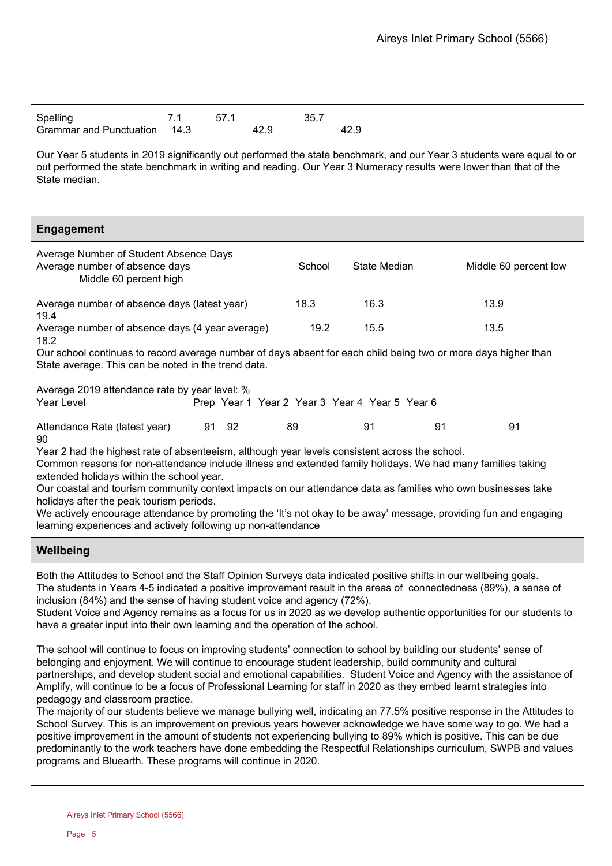| Spelling                     | 57.1 | 35.7 |
|------------------------------|------|------|
| Grammar and Punctuation 14.3 | 42.9 | 42.9 |

Our Year 5 students in 2019 significantly out performed the state benchmark, and our Year 3 students were equal to or out performed the state benchmark in writing and reading. Our Year 3 Numeracy results were lower than that of the State median.

### **Engagement**

| Average Number of Student Absence Days<br>Average number of absence days<br>Middle 60 percent high                                                                    | School | State Median | Middle 60 percent low |
|-----------------------------------------------------------------------------------------------------------------------------------------------------------------------|--------|--------------|-----------------------|
| Average number of absence days (latest year)<br>19.4                                                                                                                  | 18.3   | 16.3         | 13.9                  |
| Average number of absence days (4 year average)<br>18.2                                                                                                               | 19.2   | 15.5         | 13.5                  |
| Our school continues to record average number of days absent for each child being two or more days higher than<br>State average. This can be noted in the trend data. |        |              |                       |

Average 2019 attendance rate by year level: %

| Year Level |  |  |  |  | Prep Year 1 Year 2 Year 3 Year 4 Year 5 Year 6 |  |  |
|------------|--|--|--|--|------------------------------------------------|--|--|
|------------|--|--|--|--|------------------------------------------------|--|--|

Attendance Rate (latest year) 91 92 89 91 91 91 91  $90$ 

Year 2 had the highest rate of absenteeism, although year levels consistent across the school.

Common reasons for non-attendance include illness and extended family holidays. We had many families taking extended holidays within the school year.

Our coastal and tourism community context impacts on our attendance data as families who own businesses take holidays after the peak tourism periods.

We actively encourage attendance by promoting the 'It's not okay to be away' message, providing fun and engaging learning experiences and actively following up non-attendance

### **Wellbeing**

Both the Attitudes to School and the Staff Opinion Surveys data indicated positive shifts in our wellbeing goals. The students in Years 4-5 indicated a positive improvement result in the areas of connectedness (89%), a sense of inclusion (84%) and the sense of having student voice and agency (72%).

Student Voice and Agency remains as a focus for us in 2020 as we develop authentic opportunities for our students to have a greater input into their own learning and the operation of the school.

The school will continue to focus on improving students' connection to school by building our students' sense of belonging and enjoyment. We will continue to encourage student leadership, build community and cultural partnerships, and develop student social and emotional capabilities. Student Voice and Agency with the assistance of Amplify, will continue to be a focus of Professional Learning for staff in 2020 as they embed learnt strategies into pedagogy and classroom practice.

The majority of our students believe we manage bullying well, indicating an 77.5% positive response in the Attitudes to School Survey. This is an improvement on previous years however acknowledge we have some way to go. We had a positive improvement in the amount of students not experiencing bullying to 89% which is positive. This can be due predominantly to the work teachers have done embedding the Respectful Relationships curriculum, SWPB and values programs and Bluearth. These programs will continue in 2020.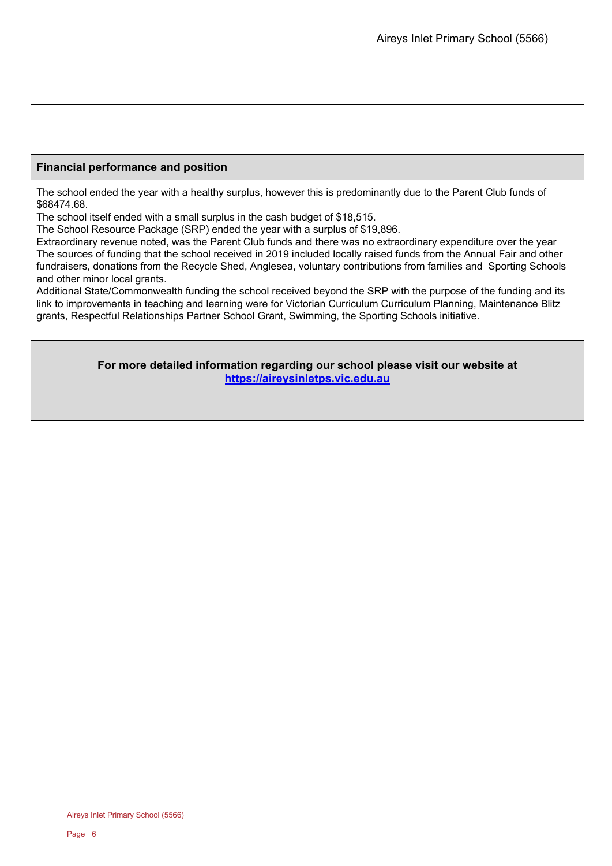### **Financial performance and position**

The school ended the year with a healthy surplus, however this is predominantly due to the Parent Club funds of \$68474.68.

The school itself ended with a small surplus in the cash budget of \$18,515.

The School Resource Package (SRP) ended the year with a surplus of \$19,896.

Extraordinary revenue noted, was the Parent Club funds and there was no extraordinary expenditure over the year The sources of funding that the school received in 2019 included locally raised funds from the Annual Fair and other fundraisers, donations from the Recycle Shed, Anglesea, voluntary contributions from families and Sporting Schools and other minor local grants.

Additional State/Commonwealth funding the school received beyond the SRP with the purpose of the funding and its link to improvements in teaching and learning were for Victorian Curriculum Curriculum Planning, Maintenance Blitz grants, Respectful Relationships Partner School Grant, Swimming, the Sporting Schools initiative.

> **For more detailed information regarding our school please visit our website at [https://aireysinletps.vic.edu.au](https://aireysinletps.vic.edu.au/)**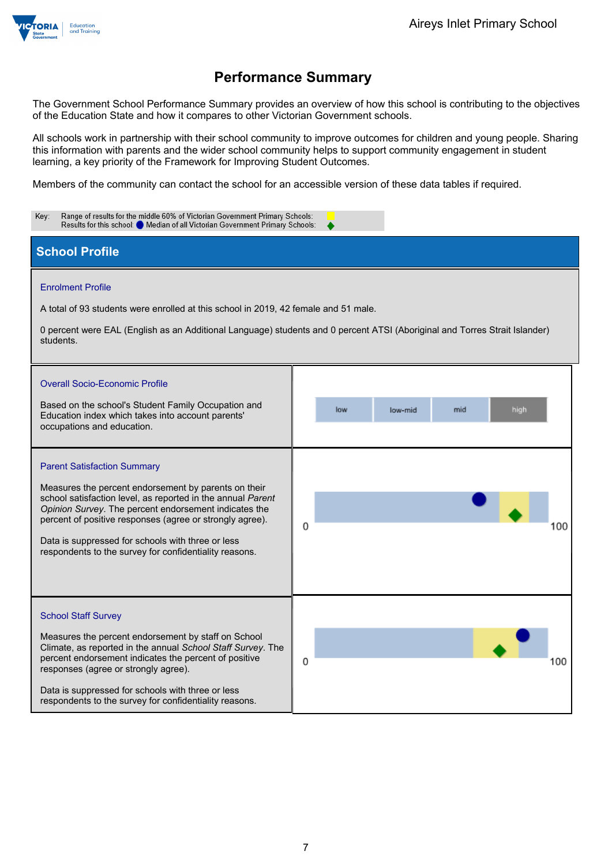

The Government School Performance Summary provides an overview of how this school is contributing to the objectives of the Education State and how it compares to other Victorian Government schools.

All schools work in partnership with their school community to improve outcomes for children and young people. Sharing this information with parents and the wider school community helps to support community engagement in student learning, a key priority of the Framework for Improving Student Outcomes.

Members of the community can contact the school for an accessible version of these data tables if required.

| Range of results for the middle 60% of Victorian Government Primary Schools:<br>Key:<br>Results for this school: Median of all Victorian Government Primary Schools:                                                                                                                                                                                                                          |                                                                                                                                                             |
|-----------------------------------------------------------------------------------------------------------------------------------------------------------------------------------------------------------------------------------------------------------------------------------------------------------------------------------------------------------------------------------------------|-------------------------------------------------------------------------------------------------------------------------------------------------------------|
| <b>School Profile</b>                                                                                                                                                                                                                                                                                                                                                                         |                                                                                                                                                             |
| <b>Enrolment Profile</b><br>A total of 93 students were enrolled at this school in 2019, 42 female and 51 male.<br>students.<br><b>Overall Socio-Economic Profile</b><br>Based on the school's Student Family Occupation and<br>Education index which takes into account parents'<br>occupations and education.                                                                               | 0 percent were EAL (English as an Additional Language) students and 0 percent ATSI (Aboriginal and Torres Strait Islander)<br>low<br>mid<br>high<br>low-mid |
| <b>Parent Satisfaction Summary</b><br>Measures the percent endorsement by parents on their<br>school satisfaction level, as reported in the annual Parent<br>Opinion Survey. The percent endorsement indicates the<br>percent of positive responses (agree or strongly agree).<br>Data is suppressed for schools with three or less<br>respondents to the survey for confidentiality reasons. | 0<br>100                                                                                                                                                    |
| <b>School Staff Survey</b><br>Measures the percent endorsement by staff on School<br>Climate, as reported in the annual School Staff Survey. The<br>percent endorsement indicates the percent of positive<br>responses (agree or strongly agree).<br>Data is suppressed for schools with three or less<br>respondents to the survey for confidentiality reasons.                              | 0<br>100                                                                                                                                                    |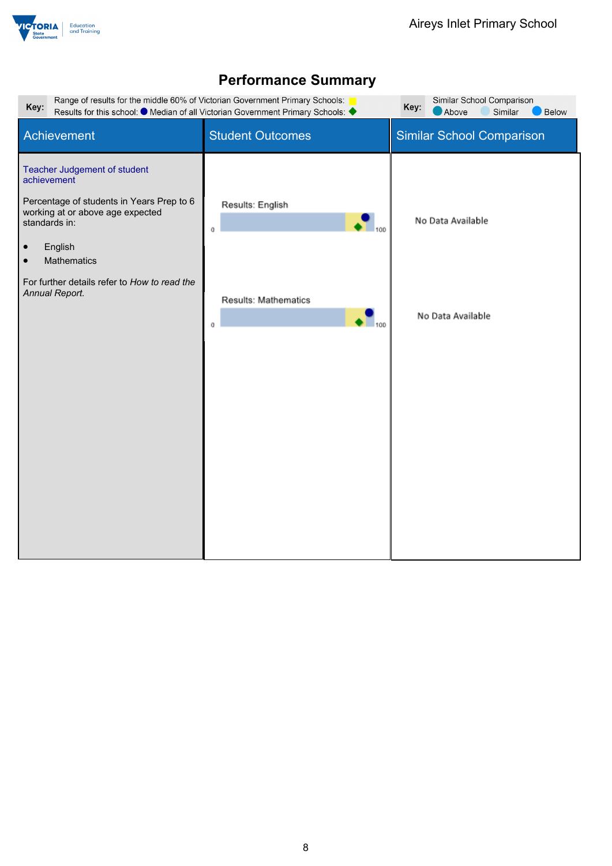

| Similar School Comparison<br>Range of results for the middle 60% of Victorian Government Primary Schools:<br>Key:<br>Key:<br>Results for this school: ● Median of all Victorian Government Primary Schools: ●<br>Above<br>Similar<br>Below                          |                                                                           |                                        |  |
|---------------------------------------------------------------------------------------------------------------------------------------------------------------------------------------------------------------------------------------------------------------------|---------------------------------------------------------------------------|----------------------------------------|--|
| Achievement                                                                                                                                                                                                                                                         | <b>Student Outcomes</b>                                                   | <b>Similar School Comparison</b>       |  |
| Teacher Judgement of student<br>achievement<br>Percentage of students in Years Prep to 6<br>working at or above age expected<br>standards in:<br>English<br>$\bullet$<br>Mathematics<br>$\bullet$<br>For further details refer to How to read the<br>Annual Report. | Results: English<br>100<br>$^{\circ}$<br>Results: Mathematics<br>100<br>0 | No Data Available<br>No Data Available |  |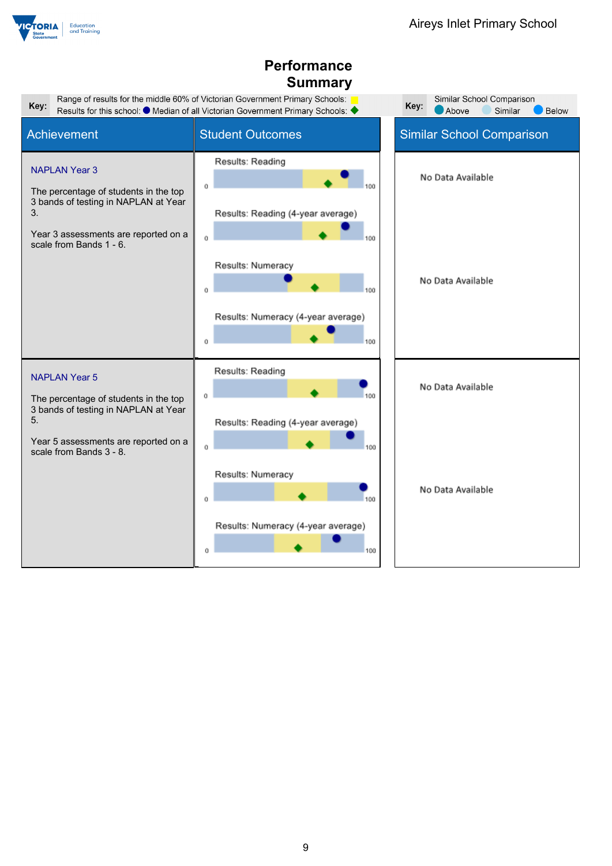

| Key:                                                                                                                                                | Range of results for the middle 60% of Victorian Government Primary Schools:<br>Results for this school: ● Median of all Victorian Government Primary Schools: ◆ | Similar School Comparison<br>Key:<br>Above<br>Similar<br><b>Below</b> |
|-----------------------------------------------------------------------------------------------------------------------------------------------------|------------------------------------------------------------------------------------------------------------------------------------------------------------------|-----------------------------------------------------------------------|
| Achievement                                                                                                                                         | <b>Student Outcomes</b>                                                                                                                                          | <b>Similar School Comparison</b>                                      |
| <b>NAPLAN Year 3</b><br>The percentage of students in the top<br>3 bands of testing in NAPLAN at Year<br>3.                                         | Results: Reading<br>O<br>Results: Reading (4-year average)                                                                                                       | No Data Available                                                     |
| Year 3 assessments are reported on a<br>scale from Bands 1 - 6.                                                                                     | Results: Numeracy<br>100<br>O<br>Results: Numeracy (4-year average)<br>100<br>O                                                                                  | No Data Available                                                     |
| <b>NAPLAN Year 5</b><br>The percentage of students in the top<br>3 bands of testing in NAPLAN at Year<br>5.<br>Year 5 assessments are reported on a | Results: Reading<br>100<br>Ŭ<br>Results: Reading (4-year average)                                                                                                | No Data Available                                                     |
| scale from Bands 3 - 8.                                                                                                                             | 100<br>Ŭ<br>Results: Numeracy<br>0<br>Results: Numeracy (4-year average)<br>Û<br>100                                                                             | No Data Available                                                     |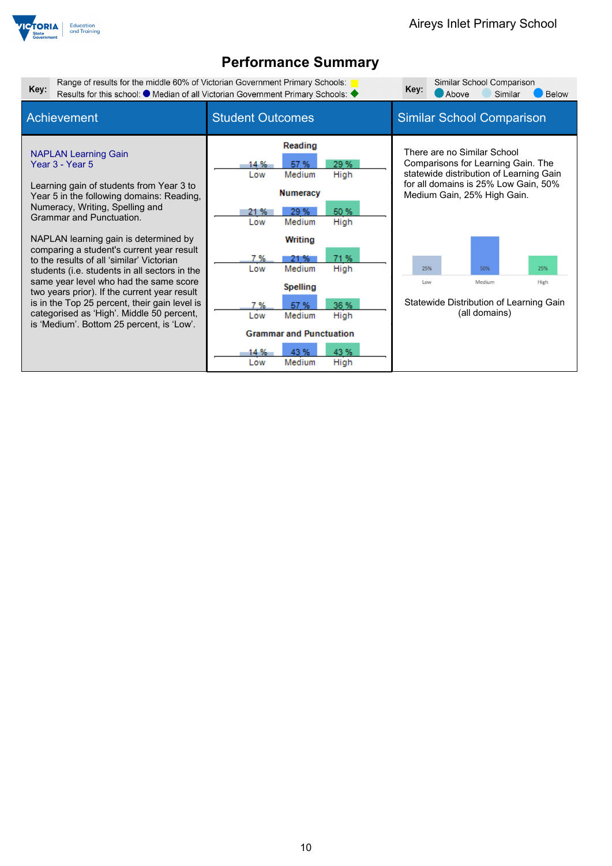

| Key:                                                                                                                                                                                                                                                                                                                                                                                                                                                                                                                                                                                                                                   | Range of results for the middle 60% of Victorian Government Primary Schools:<br>Results for this school: ● Median of all Victorian Government Primary Schools: ◆                                                                                                                                                                            |                                                                                                                                                                                                                                                                                               |  |  |  |
|----------------------------------------------------------------------------------------------------------------------------------------------------------------------------------------------------------------------------------------------------------------------------------------------------------------------------------------------------------------------------------------------------------------------------------------------------------------------------------------------------------------------------------------------------------------------------------------------------------------------------------------|---------------------------------------------------------------------------------------------------------------------------------------------------------------------------------------------------------------------------------------------------------------------------------------------------------------------------------------------|-----------------------------------------------------------------------------------------------------------------------------------------------------------------------------------------------------------------------------------------------------------------------------------------------|--|--|--|
| Achievement                                                                                                                                                                                                                                                                                                                                                                                                                                                                                                                                                                                                                            | <b>Student Outcomes</b>                                                                                                                                                                                                                                                                                                                     | <b>Similar School Comparison</b>                                                                                                                                                                                                                                                              |  |  |  |
| <b>NAPLAN Learning Gain</b><br>Year 3 - Year 5<br>Learning gain of students from Year 3 to<br>Year 5 in the following domains: Reading,<br>Numeracy, Writing, Spelling and<br><b>Grammar and Punctuation.</b><br>NAPLAN learning gain is determined by<br>comparing a student's current year result<br>to the results of all 'similar' Victorian<br>students (i.e. students in all sectors in the<br>same year level who had the same score<br>two years prior). If the current year result<br>is in the Top 25 percent, their gain level is<br>categorised as 'High'. Middle 50 percent,<br>is 'Medium'. Bottom 25 percent, is 'Low'. | Reading<br>29 %<br>57 %<br>14 %<br>Medium<br>High<br>Low<br><b>Numeracy</b><br>50 %<br>29%<br>21 %<br>Medium<br>High<br>Low<br>Writing<br>71%<br>7 %<br>21 %<br>High<br>Medium<br>Low<br><b>Spelling</b><br>36 %<br>57 %<br>7 %<br>Medium<br>High<br>Low<br><b>Grammar and Punctuation</b><br>43 %<br>43 %<br>14 %<br>Medium<br>High<br>Low | There are no Similar School<br>Comparisons for Learning Gain. The<br>statewide distribution of Learning Gain<br>for all domains is 25% Low Gain, 50%<br>Medium Gain, 25% High Gain.<br>25%<br>50%<br>25%<br>Medium<br>Low<br>High<br>Statewide Distribution of Learning Gain<br>(all domains) |  |  |  |
|                                                                                                                                                                                                                                                                                                                                                                                                                                                                                                                                                                                                                                        |                                                                                                                                                                                                                                                                                                                                             |                                                                                                                                                                                                                                                                                               |  |  |  |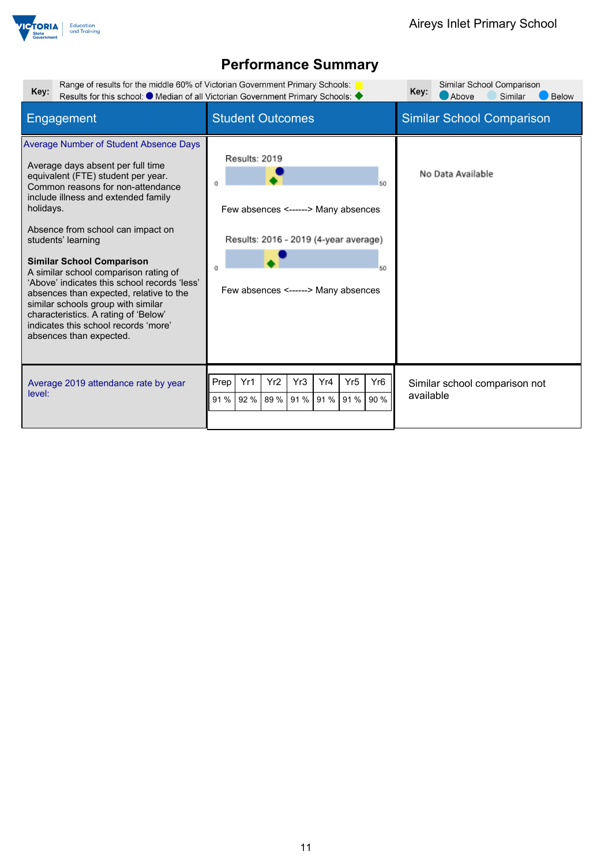

| Range of results for the middle 60% of Victorian Government Primary Schools:<br>Key:                                                                                                                                                                                                                                                                                                                                                                                                                                                                                                                  | Results for this school: ● Median of all Victorian Government Primary Schools: ◆                                                                         | Similar School Comparison<br>Key:<br>Above<br>Below<br>Similar |
|-------------------------------------------------------------------------------------------------------------------------------------------------------------------------------------------------------------------------------------------------------------------------------------------------------------------------------------------------------------------------------------------------------------------------------------------------------------------------------------------------------------------------------------------------------------------------------------------------------|----------------------------------------------------------------------------------------------------------------------------------------------------------|----------------------------------------------------------------|
| Engagement                                                                                                                                                                                                                                                                                                                                                                                                                                                                                                                                                                                            | <b>Student Outcomes</b>                                                                                                                                  | <b>Similar School Comparison</b>                               |
| <b>Average Number of Student Absence Days</b><br>Average days absent per full time<br>equivalent (FTE) student per year.<br>Common reasons for non-attendance<br>include illness and extended family<br>holidays.<br>Absence from school can impact on<br>students' learning<br><b>Similar School Comparison</b><br>A similar school comparison rating of<br>'Above' indicates this school records 'less'<br>absences than expected, relative to the<br>similar schools group with similar<br>characteristics. A rating of 'Below'<br>indicates this school records 'more'<br>absences than expected. | Results: 2019<br>50<br>Few absences <------> Many absences<br>Results: 2016 - 2019 (4-year average)<br>50<br>Few absences <------> Many absences         | No Data Available                                              |
| Average 2019 attendance rate by year<br>level:                                                                                                                                                                                                                                                                                                                                                                                                                                                                                                                                                        | Prep !<br>Yr <sub>2</sub><br>Yr <sub>3</sub><br>Yr <sub>5</sub><br>Yr <sub>6</sub><br>Yr1<br>Yr4<br>90 %<br>89 %<br>91 %<br>91 %<br>91 %<br>91 %<br>92 % | Similar school comparison not<br>available                     |
|                                                                                                                                                                                                                                                                                                                                                                                                                                                                                                                                                                                                       |                                                                                                                                                          |                                                                |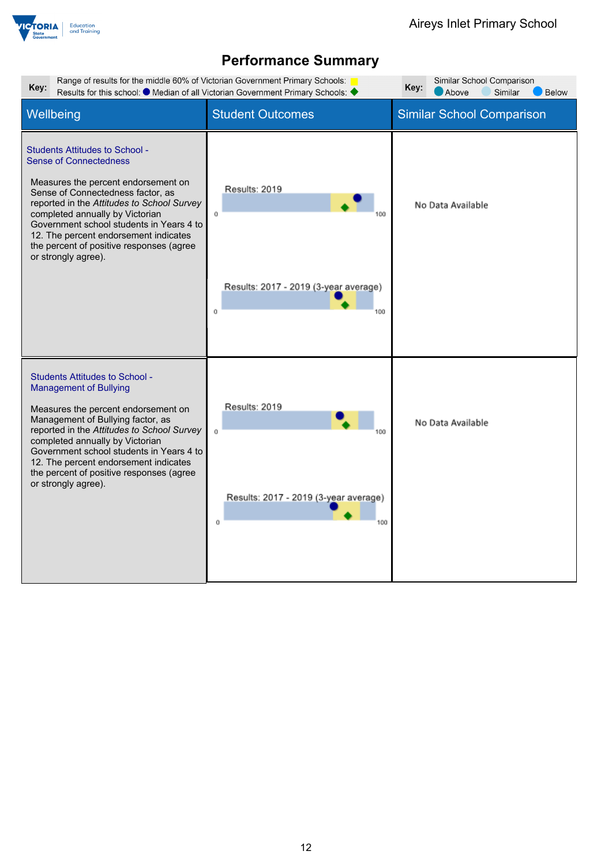

| Range of results for the middle 60% of Victorian Government Primary Schools:<br>Similar School Comparison<br>Key:<br>Key:<br>Results for this school: ● Median of all Victorian Government Primary Schools: ◆<br>Above<br>Similar<br><b>Below</b>                                                                                                                                           |                                                                          |                                  |  |
|---------------------------------------------------------------------------------------------------------------------------------------------------------------------------------------------------------------------------------------------------------------------------------------------------------------------------------------------------------------------------------------------|--------------------------------------------------------------------------|----------------------------------|--|
| Wellbeing                                                                                                                                                                                                                                                                                                                                                                                   | <b>Student Outcomes</b>                                                  | <b>Similar School Comparison</b> |  |
| <b>Students Attitudes to School -</b><br><b>Sense of Connectedness</b><br>Measures the percent endorsement on<br>Sense of Connectedness factor, as<br>reported in the Attitudes to School Survey<br>completed annually by Victorian<br>Government school students in Years 4 to<br>12. The percent endorsement indicates<br>the percent of positive responses (agree<br>or strongly agree). | Results: 2019<br>Ū.<br>Results: 2017 - 2019 (3-year average)<br>Ŭ<br>100 | No Data Available                |  |
| <b>Students Attitudes to School -</b><br><b>Management of Bullying</b><br>Measures the percent endorsement on<br>Management of Bullying factor, as<br>reported in the Attitudes to School Survey<br>completed annually by Victorian<br>Government school students in Years 4 to<br>12. The percent endorsement indicates<br>the percent of positive responses (agree<br>or strongly agree). | Results: 2019<br>Ū.<br>Results: 2017 - 2019 (3-year average)<br>Ŭ<br>100 | No Data Available                |  |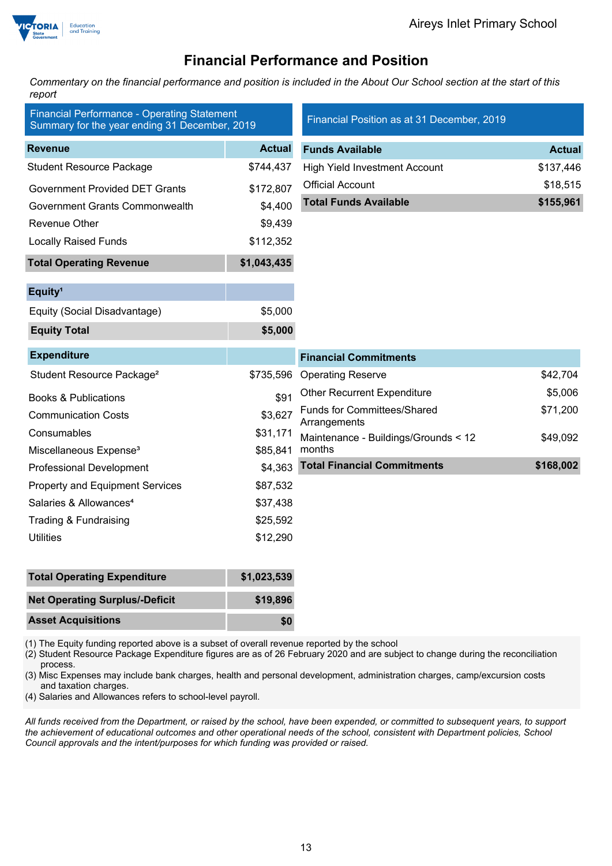

### **Financial Performance and Position**

*Commentary on the financial performance and position is included in the About Our School section at the start of this report*

| <b>Financial Performance - Operating Statement</b><br>Summary for the year ending 31 December, 2019 |               | Financial Position as at 31 December, 2019         |               |
|-----------------------------------------------------------------------------------------------------|---------------|----------------------------------------------------|---------------|
| <b>Revenue</b>                                                                                      | <b>Actual</b> | <b>Funds Available</b>                             | <b>Actual</b> |
| <b>Student Resource Package</b>                                                                     | \$744,437     | <b>High Yield Investment Account</b>               | \$137,446     |
| <b>Government Provided DET Grants</b>                                                               | \$172,807     | <b>Official Account</b>                            | \$18,515      |
| <b>Government Grants Commonwealth</b>                                                               | \$4,400       | <b>Total Funds Available</b>                       | \$155,961     |
| Revenue Other                                                                                       | \$9,439       |                                                    |               |
| <b>Locally Raised Funds</b>                                                                         | \$112,352     |                                                    |               |
| <b>Total Operating Revenue</b>                                                                      | \$1,043,435   |                                                    |               |
| Equity <sup>1</sup>                                                                                 |               |                                                    |               |
| Equity (Social Disadvantage)                                                                        | \$5,000       |                                                    |               |
| <b>Equity Total</b>                                                                                 | \$5,000       |                                                    |               |
|                                                                                                     |               |                                                    |               |
| <b>Expenditure</b>                                                                                  |               | <b>Financial Commitments</b>                       |               |
| Student Resource Package <sup>2</sup>                                                               | \$735,596     | <b>Operating Reserve</b>                           | \$42,704      |
| <b>Books &amp; Publications</b>                                                                     | \$91          | <b>Other Recurrent Expenditure</b>                 | \$5,006       |
| <b>Communication Costs</b>                                                                          | \$3,627       | <b>Funds for Committees/Shared</b><br>Arrangements | \$71,200      |
| Consumables                                                                                         | \$31,171      | Maintenance - Buildings/Grounds < 12               | \$49,092      |
| Miscellaneous Expense <sup>3</sup>                                                                  | \$85,841      | months                                             |               |
| <b>Professional Development</b>                                                                     | \$4,363       | <b>Total Financial Commitments</b>                 | \$168,002     |
| <b>Property and Equipment Services</b>                                                              | \$87,532      |                                                    |               |
| Salaries & Allowances <sup>4</sup>                                                                  | \$37,438      |                                                    |               |
| Trading & Fundraising                                                                               | \$25,592      |                                                    |               |
| <b>Utilities</b>                                                                                    | \$12,290      |                                                    |               |
| <b>Total Operating Expenditure</b>                                                                  | \$1,023,539   |                                                    |               |

| Total Operating Experiment            | <b>DI,UZJ,JJJ</b> |
|---------------------------------------|-------------------|
| <b>Net Operating Surplus/-Deficit</b> | \$19,896          |
| <b>Asset Acquisitions</b>             | \$0               |

(1) The Equity funding reported above is a subset of overall revenue reported by the school

(2) Student Resource Package Expenditure figures are as of 26 February 2020 and are subject to change during the reconciliation process.

(3) Misc Expenses may include bank charges, health and personal development, administration charges, camp/excursion costs and taxation charges.

(4) Salaries and Allowances refers to school-level payroll.

*All funds received from the Department, or raised by the school, have been expended, or committed to subsequent years, to support the achievement of educational outcomes and other operational needs of the school, consistent with Department policies, School Council approvals and the intent/purposes for which funding was provided or raised.*